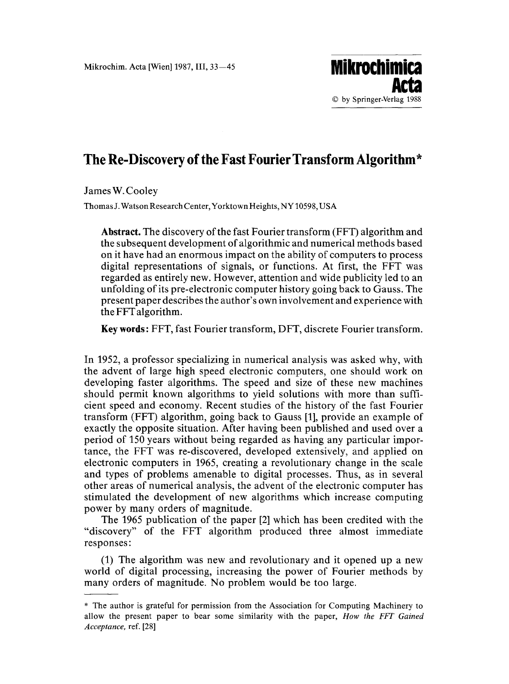

# **The Re-Discovery of the Fast Fourier Transform Algorithm\***

James W. Cooley

Thomas J. Watson Research Center, Yorktown Heights, NY 10598, USA

**Abstract.** The discovery of the fast Fourier transform (FFT) algorithm and the subsequent development of algorithmic and numerical methods based on it have had an enormous impact on the ability of computers to process digital representations of signals, or functions. At first, the FFT was regarded as entirely new. However, attention and wide publicity led to an unfolding of its pre-electronic computer history going back to Gauss. The present paper describes the author's own involvement and experience with the FFT algorithm.

**Key words:** FFT, fast Fourier transform, DFT, discrete Fourier transform.

In 1952, a professor specializing in numerical analysis was asked why, with the advent of large high speed electronic computers, one should work on developing faster algorithms. The speed and size of these new machines should permit known algorithms to yield solutions with more than sufficient speed and economy. Recent studies of the history of the fast Fourier transform (FFT) algorithm, going back to Gauss [1], provide an example of exactly the opposite situation. After having been published and used over a period of 150 years without being regarded as having any particular importance, the FFT was re-discovered, developed extensively, and applied on electronic computers in 1965, creating a revolutionary change in the scale and types of problems amenable to digital processes. Thus, as in several other areas of numerical analysis, the advent of the electronic computer has stimulated the development of new algorithms which increase computing power by many orders of magnitude.

The 1965 publication of the paper [2] which has been credited with the "discovery" of the FFT algorithm produced three almost immediate responses:

(1) The algorithm was new and revolutionary and it opened up a new world of digital processing, increasing the power of Fourier methods by many orders of magnitude. No problem would be too large.

<sup>\*</sup> The author is grateful for permission from the Association for Computing Machinery to allow the present paper to bear some similarity with the paper, *How the FFT Gained Acceptance,* ref. [28]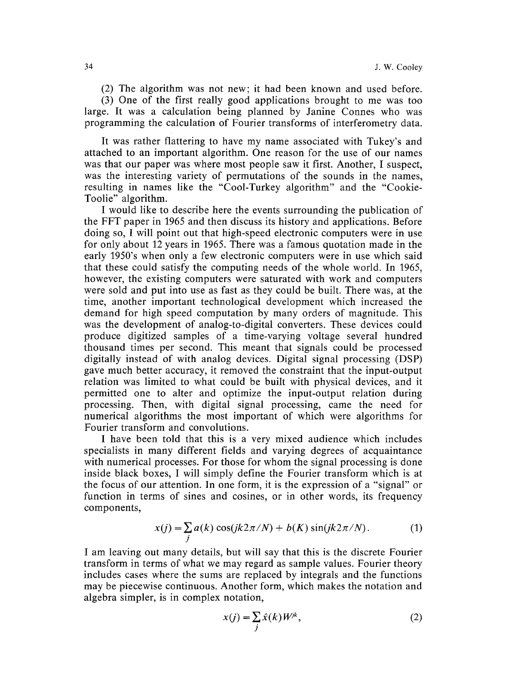(2) The algorithm was not new; it had been known and used before. (3) One of the first really good applications brought to me was too large. It was a calculation being planned by Janine Connes who was programming the calculation of Fourier transforms of interferometry data.

It was rather flattering to have my name associated with Tukey's and attached to an important algorithm. One reason for the use of our names was that our paper was where most people saw it first. Another, I suspect, was the interesting variety of permutations of the sounds in the names, resulting in names like the "Cool-Turkey algorithm" and the "Cookie-Toolie" algorithm.

I would like to describe here the events surrounding the publication of the FFT paper in 1965 and then discuss its history and applications. Before doing so, I will point out that high-speed electronic computers were in use for only about 12 years in 1965. There was a famous quotation made in the early 1950's when only a few electronic computers were in use which said that these could satisfy the computing needs of the whole world. In 1965, however, the existing computers were saturated with work and computers were sold and put into use as fast as they could be built. There was, at the time, another important technological development which increased the demand for high speed computation by many orders of magnitude. This was the development of analog-to-digital converters. These devices could produce digitized samples of a time-varying voltage several hundred thousand times per second. This meant that signals could be processed digitally instead of with analog devices. Digital signal processing (DSP) gave much better accuracy, it removed the constraint that the input-output relation was limited to what could be built with physical devices, and it permitted one to alter and optimize the input-output relation during processing. Then, with digital signal processing, came the need for numerical algorithms the most important of which were algorithms for Fourier transform and convolutions.

I have been told that this is a very mixed audience which includes specialists in many different fields and varying degrees of acquaintance with numerical processes. For those for whom the signal processing is done inside black boxes, I will simply define the Fourier transform which is at the focus of our attention. In one form, it is the expression of a "signal" or function in terms of sines and cosines, or in other words, its frequency components,

$$
x(j) = \sum_{j} a(k) \cos(jk2\pi/N) + b(K) \sin(jk2\pi/N).
$$
 (1)

I am leaving out many details, but will say that this is the discrete Fourier transform in terms of what we may regard as sample values. Fourier theory includes cases where the sums are replaced by integrals and the functions may be piecewise continuous. Another form, which makes the notation and algebra simpler, is in complex notation,

$$
x(j) = \sum_{j} \hat{x}(k)W^{jk},\tag{2}
$$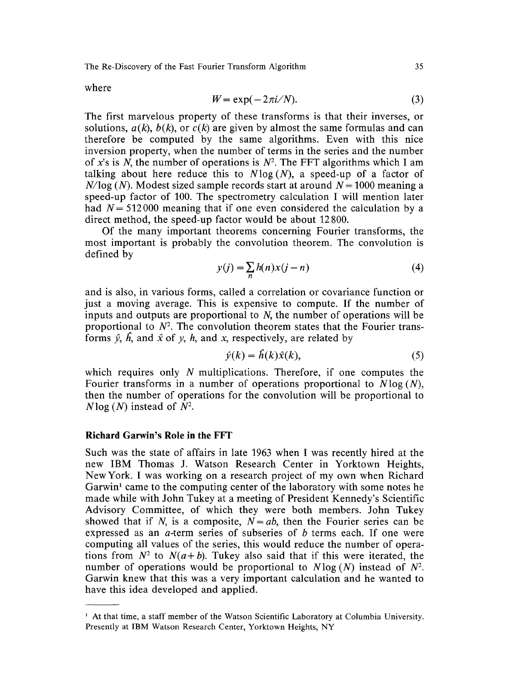The Re-Discovery of the Fast Fourier Transform Algorithm 35

where

$$
W = \exp(-2\pi i/N). \tag{3}
$$

The first marvelous property of these transforms is that their inverses, or solutions,  $a(k)$ ,  $b(k)$ , or  $c(k)$  are given by almost the same formulas and can therefore be computed by the same algorithms. Even with this nice inversion property, when the number of terms in the series and the number of x's is N, the number of operations is  $N^2$ . The FFT algorithms which I am talking about here reduce this to  $N \log(N)$ , a speed-up of a factor of  $N/\log(N)$ . Modest sized sample records start at around  $N = 1000$  meaning a speed-up factor of 100. The spectrometry calculation I will mention later had  $N = 512000$  meaning that if one even considered the calculation by a direct method, the speed-up factor would be about 12 800.

Of the many important theorems concerning Fourier transforms, the most important is probably the convolution theorem. The convolution is defined by

$$
y(j) = \sum_{n} h(n)x(j-n)
$$
 (4)

and is also, in various forms, called a correlation or covariance function or just a moving average. This is expensive to compute. If the number of inputs and outputs are proportional to  $N$ , the number of operations will be proportional to  $N^2$ . The convolution theorem states that the Fourier transforms  $\hat{y}$ ,  $\hat{h}$ , and  $\hat{x}$  of y, h, and x, respectively, are related by

$$
\hat{y}(k) = \hat{h}(k)\hat{x}(k),\tag{5}
$$

which requires only  $N$  multiplications. Therefore, if one computes the Fourier transforms in a number of operations proportional to  $N \log(N)$ , then the number of operations for the convolution will be proportional to  $N \log(N)$  instead of  $N^2$ .

#### **Richard Garwin's Role in the FFF**

Such was the state of affairs in late 1963 when I was recently hired at the new IBM Thomas J. Watson Research Center in Yorktown Heights, NewYork. I was working on a research project of my own when Richard Garwin<sup>1</sup> came to the computing center of the laboratory with some notes he made while with John Tukey at a meeting of President Kennedy's Scientific Advisory Committee, of which they were both members. John Tukey showed that if N, is a composite,  $N = ab$ , then the Fourier series can be expressed as an  $a$ -term series of subseries of  $b$  terms each. If one were computing all values of the series, this would reduce the number of operations from  $N^2$  to  $N(a+b)$ . Tukey also said that if this were iterated, the number of operations would be proportional to  $N \log(N)$  instead of  $N^2$ . Garwin knew that this was a very important calculation and he wanted to have this idea developed and applied.

<sup>&</sup>lt;sup>1</sup> At that time, a staff member of the Watson Scientific Laboratory at Columbia University. Presently at IBM Watson Research Center, Yorktown Heights, NY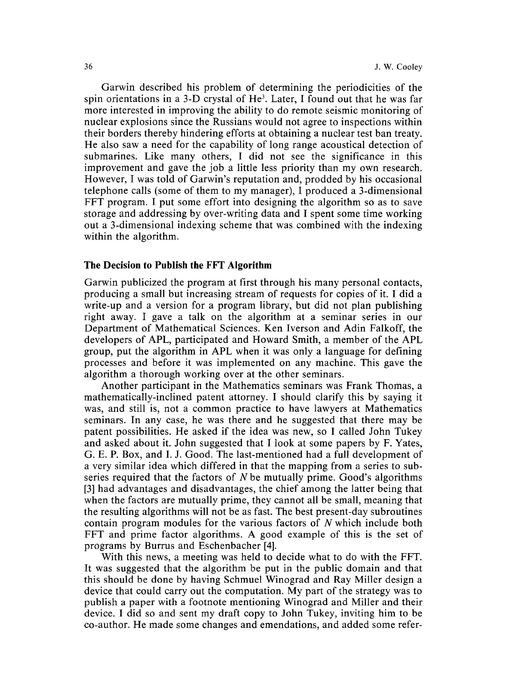Garwin described his problem of determining the periodicities of the spin orientations in a 3-D crystal of He<sup>3</sup>. Later, I found out that he was far more interested in improving the ability to do remote seismic monitoring of nuclear explosions since the Russians would not agree to inspections within their borders thereby hindering efforts at obtaining a nuclear test ban treaty. He also saw a need for the capability of long range acoustical detection of submarines. Like many others, I did not see the significance in this improvement and gave the job a little less priority than my own research. However, I was told of Garwin's reputation and, prodded by his occasional telephone calls (some of them to my manager), I produced a 3-dimensional FFT program. I put some effort into designing the algorithm so as to save storage and addressing by over-writing data and I spent some time working out a 3-dimensional indexing scheme that was combined with the indexing within the algorithm.

#### **The Decision to Publish the FFT Algorithm**

Garwin publicized the program at first through his many personal contacts, producing a small but increasing stream of requests for copies of it. I did a write-up and a version for a program library, but did not plan publishing right away. I gave a talk on the algorithm at a seminar series in our Department of Mathematical Sciences. Ken Iverson and Adin Falkoff, the developers of APL, participated and Howard Smith, a member of the APL group, put the algorithm in APL when it was only a language for defining processes and before it was implemented on any machine. This gave the algorithm a thorough working over at the other seminars.

Another participant in the Mathematics seminars was Frank Thomas, a mathematically-inclined patent attorney. I should clarify this by saying it was, and still is, not a common practice to have lawyers at Mathematics seminars. In any case, he was there and he suggested that there may be patent possibilities. He asked if the idea was new, so I called John Tukey and asked about it. John suggested that I look at some papers by F. Yates, G. E. P. Box, and I. J. Good. The last-mentioned had a full development of a very similar idea which differed in that the mapping from a series to subseries required that the factors of  $N$  be mutually prime. Good's algorithms [3] had advantages and disadvantages, the chief among the latter being that when the factors are mutually prime, they cannot all be small, meaning that the resulting algorithms will not be as fast. The best present-day subroutines contain program modules for the various factors of N which include both FFT and prime factor algorithms. A good example of this is the set of programs by Burrus and Eschenbacher [4].

With this news, a meeting was held to decide what to do with the FFT. It was suggested that the algorithm be put in the public domain and that this should be done by having Schmuel Winograd and Ray Miller design a device that could carry out the computation. My part of the strategy was to publish a paper with a footnote mentioning Winograd and Miller and their device. I did so and sent my draft copy to John Tukey, inviting him to be co-author. He made some changes and emendations, and added some refer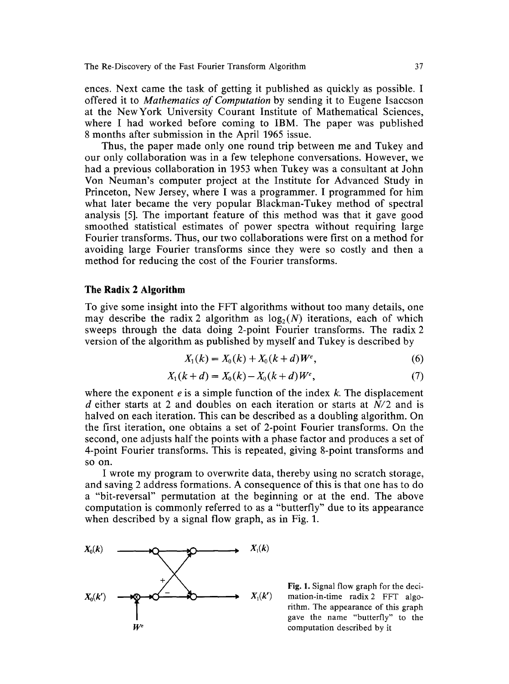The Re-Discovery of the Fast Fourier Transform Algorithm 37

ences. Next came the task of getting it published as quickly as possible. I offered it to *Mathematics of Computation* by sending it to Eugene Isaccson at the New York University Courant Institute of Mathematical Sciences, where I had worked before coming to IBM. The paper was published 8 months after submission in the April 1965 issue.

Thus, the paper made only one round trip between me and Tukey and our only collaboration was in a few telephone conversations. However, we had a previous collaboration in 1953 when Tukey was a consultant at John Von Neuman's computer project at the Institute for Advanced Study in Princeton, New Jersey, where I was a programmer. I programmed for him what later became the very popular Blackman-Tukey method of spectral analysis [5]. The important feature of this method was that it gave good smoothed statistical estimates of power spectra without requiring large Fourier transforms. Thus, our two collaborations were first on a method for avoiding large Fourier transforms since they were so costly and then a method for reducing the cost of the Fourier transforms.

### **The Radix 2 Algorithm**

To give some insight into the FFT algorithms without too many details, one may describe the radix 2 algorithm as  $log_2(N)$  iterations, each of which sweeps through the data doing 2-point Fourier transforms. The radix 2 version of the algorithm as published by myself and Tukey is described by

$$
X_1(k) = X_0(k) + X_0(k+d)W^e,
$$
\n(6)

$$
X_1(k+d) = X_0(k) - X_0(k+d)W^e,
$$
\n(7)

where the exponent  $e$  is a simple function of the index  $k$ . The displacement d either starts at 2 and doubles on each iteration or starts at *N/2* and is halved on each iteration. This can be described as a doubling algorithm. On the first iteration, one obtains a set of 2-point Fourier transforms. On the second, one adjusts half the points with a phase factor and produces a set of 4-point Fourier transforms. This is repeated, giving 8-point transforms and so on.

I wrote my program to overwrite data, thereby using no scratch storage, and saving 2 address formations. A consequence of this is that one has to do a "bit-reversal" permutation at the beginning or at the end. The above computation is commonly referred to as a "butterfly" due to its appearance when described by a signal flow graph, as in Fig. 1.



Fig. 1. Signal flow graph for the decimation-in-time radix2 FFT algorithm. The appearance of this graph gave the name "butterfly" to the computation described by it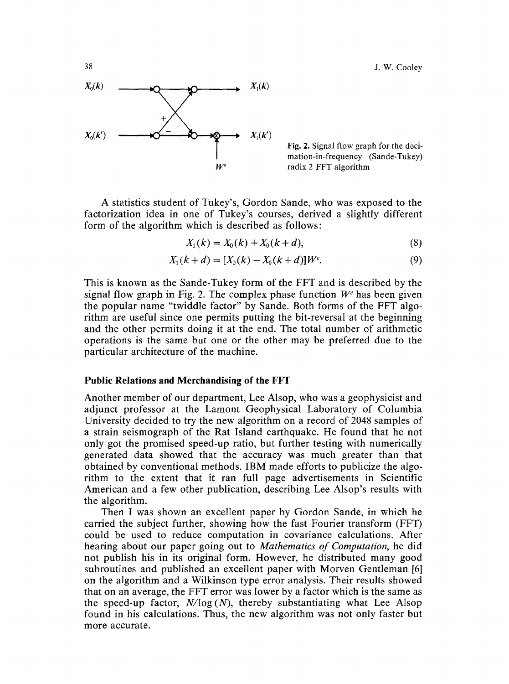

**Fig.** 2. Signal flow graph for the decimation-in-frequency (Sande-Tukey) radix 2 FFT algorithm

A statistics student of Tukey's, Gordon Sande, who was exposed to the factorization idea in one of Tukey's courses, derived a slightly different form of the algorithm which is described as follows:

$$
X_1(k) = X_0(k) + X_0(k + d),
$$
\n(8)

$$
X_1(k+d) = [X_0(k) - X_0(k+d)]W^e.
$$
 (9)

This is known as the Sande-Tukey form of the FFT and is described by the signal flow graph in Fig. 2. The complex phase function  $W<sup>e</sup>$  has been given the popular name "twiddle factor" by Sande. Both forms of the FFT algorithm are useful since one permits putting the bit-reversal at the beginning and the other permits doing it at the end. The total number of arithmetic operations is the same but one or the other may be preferred due to the particular architecture of the machine.

#### **Public Relations and Merchandising of the** FFF

Another member of our department, Lee Alsop, who was a geophysicist and adjunct professor at the Lamont Geophysical Laboratory of Columbia University decided to try the new algorithm on a record of 2048 samples of a strain seismograph of the Rat Island earthquake. He found that he not only got the promised speed-up ratio, but further testing with numerically generated data showed that the accuracy was much greater than that obtained by conventional methods. IBM made efforts to publicize the algorithm to the extent that it ran full page advertisements in Scientific American and a few other publication, describing Lee Alsop's results with the algorithm.

Then I was shown an excellent paper by Gordon Sande, in which he carried the subject further, showing how the fast Fourier transform (FFT) could be used to reduce computation in covariance calculations. After hearing about our paper going out to *Mathematics of Computation,* he did not publish his in its original form. However, he distributed many good subroutines and published an excellent paper with Morven Gentleman [6] on the algorithm and a Wilkinson type error analysis. Their results showed that on an average, the FFT error was lower by a factor which is the same as the speed-up factor,  $N/\log(N)$ , thereby substantiating what Lee Alsop found in his calculations. Thus, the new algorithm was not only faster but more accurate.

38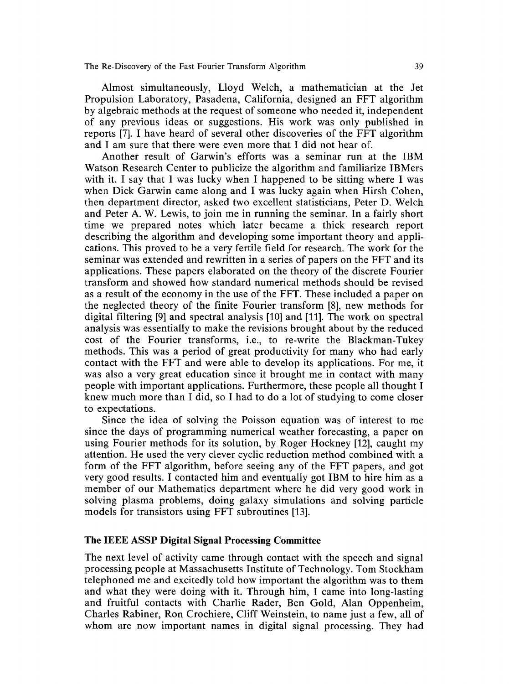Almost simultaneously, Lloyd Welch, a mathematician at the Jet Propulsion Laboratory, Pasadena, California, designed an FFT algorithm by algebraic methods at the request of someone who needed it, independent of any previous ideas or suggestions. His work was only published in reports [7]. I have heard of several other discoveries of the FFT algorithm and I am sure that there were even more that I did not hear of.

Another result of Garwin's efforts was a seminar run at the IBM Watson Research Center to publicize the algorithm and familiarize IBMers with it. I say that I was lucky when I happened to be sitting where I was when Dick Garwin came along and I was lucky again when Hirsh Cohen, then department director, asked two excellent statisticians, Peter D. Welch and Peter A. W. Lewis, to join me in running the seminar. In a fairly short time we prepared notes which later became a thick research report describing the algorithm and developing some important theory and applications. This proved to be a very fertile field for research. The work for the seminar was extended and rewritten in a series of papers on the FFT and its applications. These papers elaborated on the theory of the discrete Fourier transform and showed how standard numerical methods should be revised as a result of the economy in the use of the FFT. These included a paper on the neglected theory of the finite Fourier transform [8], new methods for digital filtering [9] and spectral analysis [10] and [11]. The work on spectral analysis was essentially to make the revisions brought about by the reduced cost of the Fourier transforms, i.e., to re-write the Blackman-Tukey methods. This was a period of great productivity for many who had early contact with the FFT and were able to develop its applications. For me, it was also a very great education since it brought me in contact with many people with important applications. Furthermore, these people all thought I knew much more than I did, so I had to do a lot of studying to come closer to expectations.

Since the idea of solving the Poisson equation was of interest to me since the days of programming numerical weather forecasting, a paper on using Fourier methods for its solution, by Roger Hockney [12], caught my attention. He used the very clever cyclic reduction method combined with a form of the FFT algorithm, before seeing any of the FFT papers, and got very good results. I contacted him and eventually got IBM to hire him as a member of our Mathematics department where he did very good work in solving plasma problems, doing galaxy simulations and solving particle models for transistors using FFT subroutines [13].

## **The IEEE ASSP Digital Signal Processing Committee**

The next level of activity came through contact with the speech and signal processing people at Massachusetts Institute of Technology. Tom Stockham telephoned me and excitedly told how important the algorithm was to them and what they were doing with it. Through him, I came into long-lasting and fruitful contacts with Charlie Rader, Ben Gold, Alan Oppenheim, Charles Rabiner, Ron Crochiere, Cliff Weinstein, to name just a few, all of whom are now important names in digital signal processing. They had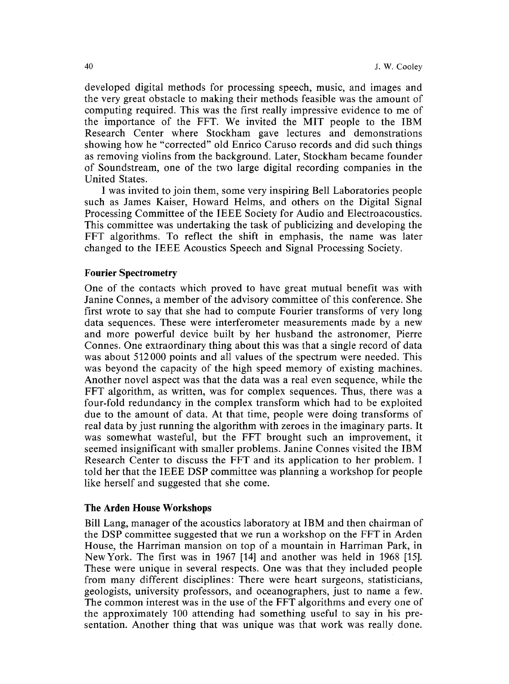developed digital methods for processing speech, music, and images and the very great obstacle to making their methods feasible was the amount of computing required. This was the first really impressive evidence to me of the importance of the FFT. We invited the MIT people to the IBM Research Center where Stockham gave lectures and demonstrations showing how he "corrected" old Enrico Caruso records and did such things as removing violins from the background. Later, Stockham became founder of Soundstream, one of the two large digital recording companies in the United States.

I was invited to join them, some very inspiring Bell Laboratories people such as James Kaiser, Howard Helms, and others on the Digital Signal Processing Committee of the IEEE Society for Audio and Electroacoustics. This committee was undertaking the task of publicizing and developing the FFT algorithms. To reflect the shift in emphasis, the name was later changed to the IEEE Acoustics Speech and Signal Processing Society.

#### **Fourier Spectrometry**

One of the contacts which proved to have great mutual benefit was with Janine Connes, a member of the advisory committee of this conference. She first wrote to say that she had to compute Fourier transforms of very long data sequences. These were interferometer measurements made by a new and more powerful device built by her husband the astronomer, Pierre Connes. One extraordinary thing about this was that a single record of data was about 512 000 points and all values of the spectrum were needed. This was beyond the capacity of the high speed memory of existing machines. Another novel aspect was that the data was a real even sequence, while the FFT algorithm, as written, was for complex sequences. Thus, there was a four-fold redundancy in the complex transform which had to be exploited due to the amount of data. At that time, people were doing transforms of real data by just running the algorithm with zeroes in the imaginary parts. **It**  was somewhat wasteful, but the FFT brought such an improvement, it seemed insignificant with smaller problems. Janine Connes visited the IBM Research Center to discuss the FFT and its application to her problem. I told her that the IEEE DSP committee was planning a workshop for people like herself and suggested that she come.

### **The Arden House Workshops**

Bill Lang, manager of the acoustics laboratory at IBM and then chairman of the DSP committee suggested that we run a workshop on the FFT in Arden House, the Harriman mansion on top of a mountain in Harriman Park, in NewYork. The first was in 1967 [14] and another was held in 1968 [15]. These were unique in several respects. One was that they included people from many different disciplines: There were heart surgeons, statisticians, geologists, university professors, and oceanographers, just to name a few. The common interest was in the use of the FFT algorithms and every one of the approximately 100 attending had something useful to say in his presentation. Another thing that was unique was that work was really done.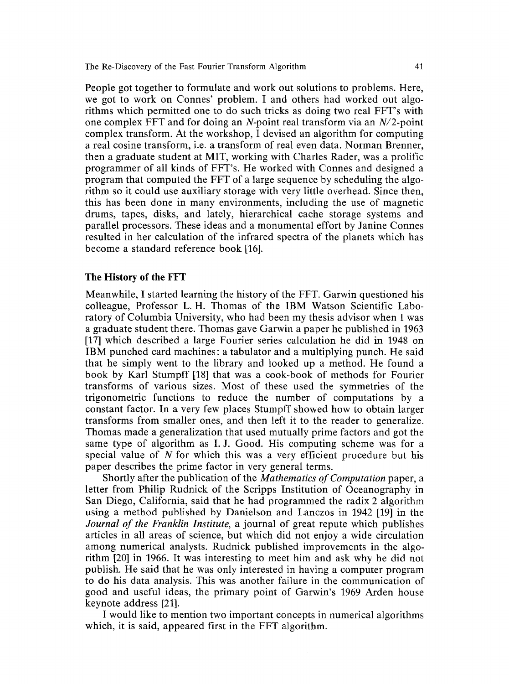People got together to formulate and work out solutions to problems. Here, we got to work on Connes' problem. I and others had worked out algorithms which permitted one to do such tricks as doing two real FFT's with one complex FFT and for doing an N-point real transform via an  $N/2$ -point complex transform. At the workshop, I devised an algorithm for computing a real cosine transform, i.e. a transform of real even data. Norman Brenner, then a graduate student at MIT, working with Charles Rader, was a prolific programmer of all kinds of FFT's. He worked with Connes and designed a program that computed the FFT of a large sequence by scheduling the algorithm so it could use auxiliary storage with very little overhead. Since then, this has been done in many environments, including the use of magnetic drums, tapes, disks, and lately, hierarchical cache storage systems and parallel processors. These ideas and a monumental effort by Janine Connes resulted in her calculation of the infrared spectra of the planets which has become a standard reference book [16].

### **The History of the FFT**

Meanwhile, I started learning the history of the FFT. Garwin questioned his colleague, Professor L.H. Thomas of the IBM Watson Scientific Laboratory of Columbia University, who had been my thesis advisor when I was a graduate student there. Thomas gave Garwin a paper he published in 1963 [17] which described a large Fourier series calculation he did in 1948 on IBM punched card machines: a tabulator and a multiplying punch. He said that he simply went to the library and looked up a method. He found a book by Karl Stumpff [18] that was a cook-book of methods for Fourier transforms of various sizes. Most of these used the symmetries of the trigonometric functions to reduce the number of computations by a constant factor. In a very few places Stumpff showed how to obtain larger transforms from smaller ones, and then left it to the reader to generalize. Thomas made a generalization that used mutually prime factors and got the same type of algorithm as I.J. Good. His computing scheme was for a special value of  $N$  for which this was a very efficient procedure but his paper describes the prime factor in very general terms.

Shortly after the publication of the *Mathematics of Computation* paper, a letter from Philip Rudnick of the Scripps Institution of Oceanography in San Diego, California, said that he had programmed the radix 2 algorithm using a method published by Danielson and Lanczos in 1942 [19] in the *Journal of the Franklin Institute,* a journal of great repute which publishes articles in all areas of science, but which did not enjoy a wide circulation among numerical analysts. Rudnick published improvements in the algorithm [20] in 1966. It was interesting to meet him and ask why he did not publish. He said that he was only interested in having a computer program to do his data analysis. This was another failure in the communication of good and useful ideas, the primary point of Garwin's 1969 Arden house keynote address [21].

I would like to mention two important concepts in numerical algorithms which, it is said, appeared first in the FFT algorithm.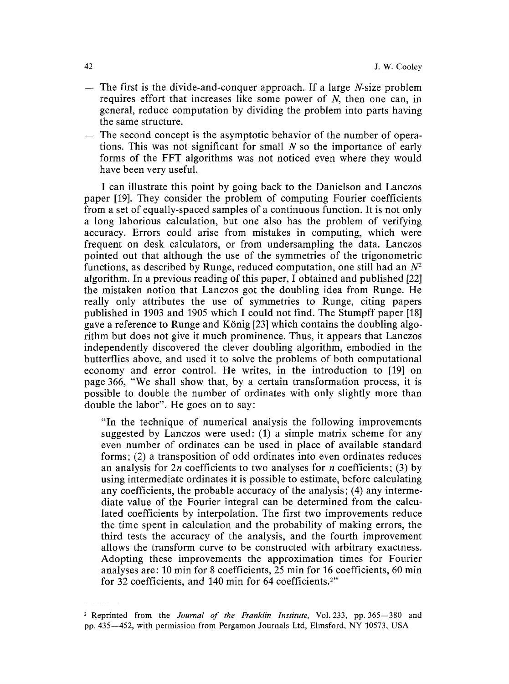- $-$  The first is the divide-and-conquer approach. If a large N-size problem requires effort that increases like some power of N, then one can, in general, reduce computation by dividing the problem into parts having the same structure.
- The second concept is the asymptotic behavior of the number of operations. This was not significant for small N so the importance of early forms of the FFT algorithms was not noticed even where they would have been very useful.

I can illustrate this point by going back to the Danielson and Lanczos paper [19]. They consider the problem of computing Fourier coefficients from a set of equally-spaced samples of a continuous function. It is not only a long laborious calculation, but one also has the problem of verifying accuracy. Errors could arise from mistakes in computing, which were frequent on desk calculators, or from undersampling the data. Lanczos pointed out that although the use of the symmetries of the trigonometric functions, as described by Runge, reduced computation, one still had an  $N^2$ algorithm. In a previous reading of this paper, I obtained and published [22] the mistaken notion that Lanczos got the doubling idea from Runge. He really only attributes the use of symmetries to Runge, citing papers published in 1903 and 1905 which I could not find. The Stumpff paper [18] gave a reference to Runge and König [23] which contains the doubling algorithm but does not give it much prominence. Thus, it appears that Lanczos independently discovered the clever doubling algorithm, embodied in the butterflies above, and used it to solve the problems of both computational economy and error control. He writes, in the introduction to [19] on page 366, "We shall show that, by a certain transformation process, it is possible to double the number of ordinates with only slightly more than double the labor". He goes on to say:

"In the technique of numerical analysis the following improvements suggested by Lanczos were used: (1) a simple matrix scheme for any even number of ordinates can be used in place of available standard forms; (2) a transposition of odd ordinates into even ordinates reduces an analysis for  $2n$  coefficients to two analyses for *n* coefficients; (3) by using intermediate ordinates it is possible to estimate, before calculating any coefficients, the probable accuracy of the analysis; (4) any intermediate value of the Fourier integral can be determined from the calculated coefficients by interpolation. The first two improvements reduce the time spent in calculation and the probability of making errors, the third tests the accuracy of the analysis, and the fourth improvement allows the transform curve to be constructed with arbitrary exactness. Adopting these improvements the approximation times for Fourier analyses are: 10 min for 8 coefficients, 25 min for 16 coefficients, 60 min for 32 coefficients, and 140 min for 64 coefficients.<sup>2"</sup>

<sup>2</sup>Reprinted from the *Journal of the Franklin Institute,* Vol. 233, pp. 365--380 and pp. 435--452, with permission from Pergamon Journals Ltd, Elmsford, NY 10573, USA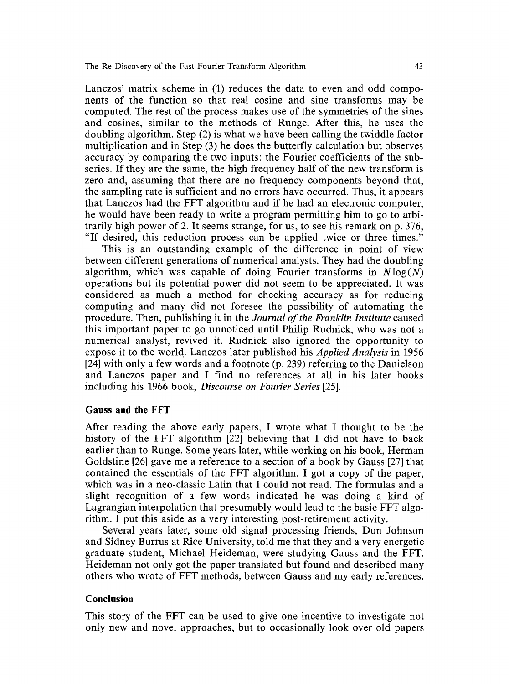Lanczos' matrix scheme in (1) reduces the data to even and odd components of the function so that real cosine and sine transforms may be computed. The rest of the process makes use of the symmetries of the sines and cosines, similar to the methods of Runge. After this, he uses the doubling algorithm. Step (2) is what we have been calling the twiddle factor multiplication and in Step (3) he does the butterfly calculation but observes accuracy by comparing the two inputs: the Fourier coefficients of the subseries. If they are the same, the high frequency half of the new transform is zero and, assuming that there are no frequency components beyond that, the sampling rate is sufficient and no errors have occurred. Thus, it appears that Lanczos had the FFT algorithm and if he had an electronic computer, he would have been ready to write a program permitting him to go to arbitrarily high power of 2. It seems strange, for us, to see his remark on p. 376, "If desired, this reduction process can be applied twice or three times."

This is an outstanding example of the difference in point of view between different generations of numerical analysts. They had the doubling algorithm, which was capable of doing Fourier transforms in  $N \log(N)$ operations but its potential power did not seem to be appreciated. It was considered as much a method for checking accuracy as for reducing computing and many did not foresee the possibility of automating the procedure. Then, publishing it in the *Journal of the Franklin Institute* caused this important paper to go unnoticed until Philip Rudnick, who was not a numerical analyst, revived it. Rudnick also ignored the opportunity to expose it to the world. Lanczos later published his *Applied Analysis* in 1956 [24] with only a few words and a footnote (p. 239) referring to the Danielson and Lanczos paper and I find no references at all in his later books including his 1966 book, *Discourse on Fourier Series* [25].

## **Gauss and the FFT**

After reading the above early papers, I wrote what I thought to be the history of the FFT algorithm [22] believing that I did not have to back earlier than to Runge. Some years later, while working on his book, Herman Goldstine [26] gave me a reference to a section of a book by Gauss [27] that contained the essentials of the FFT algorithm. I got a copy of the paper, which was in a neo-classic Latin that I could not read. The formulas and a slight recognition of a few words indicated he was doing a kind of Lagrangian interpolation that presumably would lead to the basic FFT algorithm. I put this aside as a very interesting post-retirement activity.

Several years later, some old signal processing friends, Don Johnson and Sidney Burrus at Rice University, told me that they and a very energetic graduate student, Michael Heideman, were studying Gauss and the FFT. Heideman not only got the paper translated but found and described many others who wrote of FFT methods, between Gauss and my early references.

## **Conclusion**

This story of the FFT can be used to give one incentive to investigate not only new and novel approaches, but to occasionally look over old papers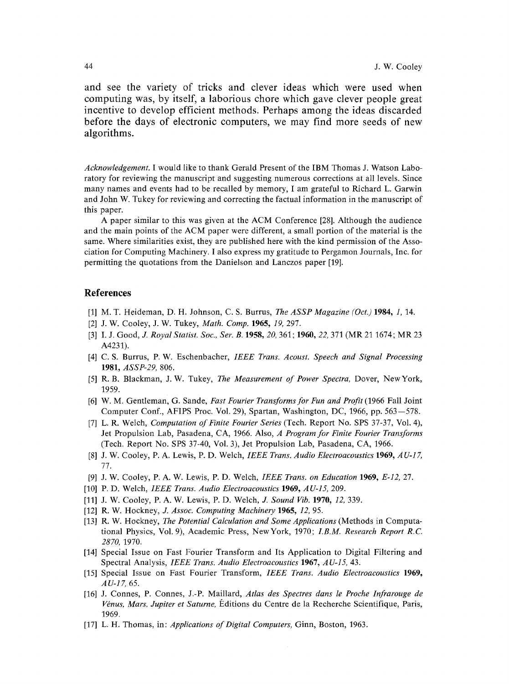**and see the variety of tricks and clever ideas which were used when computing was, by itself, a laborious chore which gave clever people great incentive to develop efficient methods. Perhaps among the ideas discarded before the days of electronic computers, we may find more seeds of new algorithms.** 

*Acknowledgement.* I would like to thank Gerald Present of the IBM Thomas J. Watson Laboratory for reviewing the manuscript and suggesting numerous corrections at all levels. Since many names and events had to be recalled by memory, I am grateful to Richard L. Garwin and John W. Tukey for reviewing and correcting the factual information in the manuscript of this paper.

A paper similar to this was given at the ACM Conference [28]. Although the audience and the main points of the ACM paper were different, a small portion of the material is the same. Where similarities exist, they are published here with the kind permission of the Association for Computing Machinery. I also express my gratitude to Pergamon Journals, Inc. for permitting the quotations from the Danielson and Lanczos paper [19].

#### **References**

- [~l] M.T. Heideman, D. H. Johnson, C. S. Burrus, The *ASSP Magazine (Oct.)* 1984, *1, 14.*
- [2] J. W. Cooley, J. W. Tukey, *Math. Comp.* 1965, *19,* 297.
- [3] I. J. Good, *J. RoyalStatist. Soc., Ser. B.* 1958, *20,* 361; 1960, *22,* 371 (MR 21 1674; MR 23 A4231).
- [4] C. S. Burrus, P.W. Eschenbacher, *IEEE Trans. Aeoust. Speech and Signal Processing*  1981, *ASSP-29,* 806.
- [5] R.B. Blackman, J.W. Tukey, The *Measurement of Power Spectra,* Dover, NewYork, 1959.
- [6] W. M. Gentleman, G. Sande, *Fast Fourier Transforms for Fun and Profit* (1966 Fall Joint Computer Conf., AFIPS Proc. Vol. 29), Spartan, Washington, DC, 1966, pp. 563–578.
- [7] L.R. Welch, *Computation of Finite Fourier Series* (Tech. Report No. SPS 37-37, Vol. 4), Jet Propulsion Lab, Pasadena, CA, 1966. Also, *A Program for Finite Fourier Transforms*  (Tech. Report No. SPS 37-40, Vol. 3), Jet Propulsion Lab, Pasadena, CA, 1966.
- [8] J. W. Cooley, P. A. Lewis, P. D. Welch, *IEEE Trans. Audio Eleetroacousties* 1969, *A U-17,*  77.
- [9] J. W. Cooley, P. A. W. Lewis, P. D. Welch, *IEEE Trans. on Education* 1969, *E-12,* 27.
- [10] P. D. Welch, *IEEE Trans. Audio Electroaeoustics* 1969, *AU-15,* 209.
- [11] J. W. Cooley, P. A. W. Lewis, P. D. Welch, *J. Sound Vib.* 1970, *12,* 339.
- [12] R.W. Hockney, *J. Assoc. Computing Machinery* 1965, *12,* 95.
- [13] R. W. Hockney, The *Potential Calculation and Some Applications* (Methods in Computational Physics, Vol. 9), Academic Press, NewYork, 1970; *LB.M. Research Report R.C. 2870,* 1970.
- [14] Special Issue on Fast Fourier Transform and Its Application to Digital Filtering and Spectral Analysis, *IEEE Trans. Audio Electroacoustics* 1967, *A U-I5,* 43.
- [15] Special Issue on Fast Fourier Transform, *IEEE Trans. Audio Electroacoustics* 1969, *AU-17,* 65.
- [16] J. Connes, P. Connes, J.-P. Maillard, *Atlas des Spectres dans le Proche Infrarouge de Vbnus, Mars, Jupiter et Saturne,* Editions du Centre de la Recherche Scientifique, Paris, 1969.
- [17] L. H. Thomas, in: *Applications of Digital Computers,* Ginn, Boston, 1963.